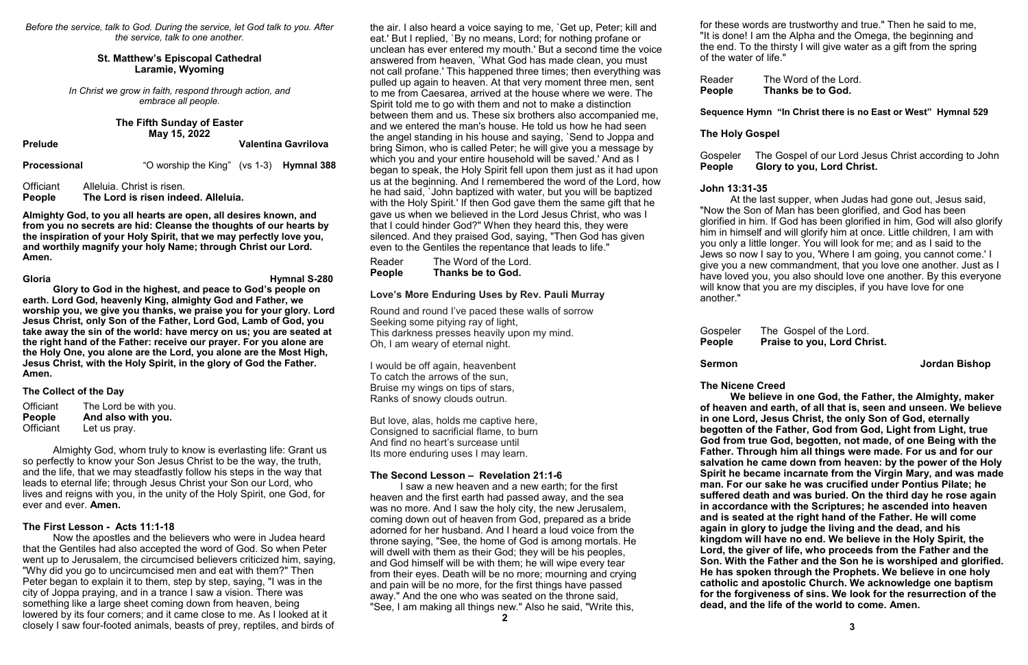*Before the service, talk to God. During the service, let God talk to you. After the service, talk to one another.*

### **St. Matthew's Episcopal Cathedral Laramie, Wyoming**

*In Christ we grow in faith, respond through action, and embrace all people.*

> **The Fifth Sunday of Easter May 15, 2022**

| Prelude |  |
|---------|--|
|---------|--|

**Prelude****Valentina Gavrilova**

**Processional** "O worship the King" (vs 1-3) **Hymnal 388**

Officiant Alleluia. Christ is risen. **People The Lord is risen indeed. Alleluia.** 

**Almighty God, to you all hearts are open, all desires known, and from you no secrets are hid: Cleanse the thoughts of our hearts by the inspiration of your Holy Spirit, that we may perfectly love you, and worthily magnify your holy Name; through Christ our Lord. Amen.**

**Gloria Hymnal S-280**

**Glory to God in the highest, and peace to God's people on earth. Lord God, heavenly King, almighty God and Father, we worship you, we give you thanks, we praise you for your glory. Lord Jesus Christ, only Son of the Father, Lord God, Lamb of God, you take away the sin of the world: have mercy on us; you are seated at the right hand of the Father: receive our prayer. For you alone are the Holy One, you alone are the Lord, you alone are the Most High, Jesus Christ, with the Holy Spirit, in the glory of God the Father. Amen.**

**The Collect of the Day**

| <b>Officiant</b> | The Lord be with you. |
|------------------|-----------------------|
| <b>People</b>    | And also with you.    |
| <b>Officiant</b> | Let us pray.          |

Almighty God, whom truly to know is everlasting life: Grant us so perfectly to know your Son Jesus Christ to be the way, the truth, and the life, that we may steadfastly follow his steps in the way that leads to eternal life; through Jesus Christ your Son our Lord, who lives and reigns with you, in the unity of the Holy Spirit, one God, for ever and ever. **Amen.** 

# **The First Lesson - Acts 11:1-18**

But love, alas, holds me captive here, Consigned to sacrificial flame, to burn And find no heart's surcease until Its more enduring uses I may learn.

Now the apostles and the believers who were in Judea heard that the Gentiles had also accepted the word of God. So when Peter went up to Jerusalem, the circumcised believers criticized him, saying, "Why did you go to uncircumcised men and eat with them?" Then Peter began to explain it to them, step by step, saying, "I was in the city of Joppa praying, and in a trance I saw a vision. There was something like a large sheet coming down from heaven, being lowered by its four corners; and it came close to me. As I looked at it closely I saw four-footed animals, beasts of prey, reptiles, and birds of

the air. I also heard a voice saying to me, `Get up, Peter; kill and eat.' But I replied, `By no means, Lord; for nothing profane or unclean has ever entered my mouth.' But a second time the voice answered from heaven, `What God has made clean, you must not call profane.' This happened three times; then everything was pulled up again to heaven. At that very moment three men, sent to me from Caesarea, arrived at the house where we were. The Spirit told me to go with them and not to make a distinction between them and us. These six brothers also accompanied me, and we entered the man's house. He told us how he had seen the angel standing in his house and saying, `Send to Joppa and bring Simon, who is called Peter; he will give you a message by which you and your entire household will be saved.' And as I began to speak, the Holy Spirit fell upon them just as it had upon us at the beginning. And I remembered the word of the Lord, how he had said, `John baptized with water, but you will be baptized with the Holy Spirit.' If then God gave them the same gift that he gave us when we believed in the Lord Jesus Christ, who was I that I could hinder God?" When they heard this, they were silenced. And they praised God, saying, "Then God has given even to the Gentiles the repentance that leads to life."

| Reader        | The Word of the Lord. |
|---------------|-----------------------|
| <b>People</b> | Thanks be to God.     |

# **Love's More Enduring Uses by Rev. Pauli Murray**

Round and round I've paced these walls of sorrow Seeking some pitying ray of light, This darkness presses heavily upon my mind. Oh, I am weary of eternal night.

I would be off again, heavenbent To catch the arrows of the sun, Bruise my wings on tips of stars, Ranks of snowy clouds outrun.

# **The Second Lesson – Revelation 21:1-6**

I saw a new heaven and a new earth; for the first heaven and the first earth had passed away, and the sea was no more. And I saw the holy city, the new Jerusalem, coming down out of heaven from God, prepared as a bride adorned for her husband. And I heard a loud voice from the throne saying, "See, the home of God is among mortals. He will dwell with them as their God; they will be his peoples, and God himself will be with them; he will wipe every tear from their eyes. Death will be no more; mourning and crying and pain will be no more, for the first things have passed away." And the one who was seated on the throne said, "See, I am making all things new." Also he said, "Write this,

for these words are trustworthy and true." Then he said to me, "It is done! I am the Alpha and the Omega, the beginning and the end. To the thirsty I will give water as a gift from the spring of the water of life."

Reader The Word of the Lord. **People Thanks be to God.**

### **Sequence Hymn "In Christ there is no East or West" Hymnal 529**

### **The Holy Gospel**

Gospeler The Gospel of our Lord Jesus Christ according to John **People Glory to you, Lord Christ.** 

**John 13:31-35** At the last supper, when Judas had gone out, Jesus said, "Now the Son of Man has been glorified, and God has been glorified in him. If God has been glorified in him, God will also glorify him in himself and will glorify him at once. Little children, I am with you only a little longer. You will look for me; and as I said to the Jews so now I say to you, 'Where I am going, you cannot come.' I give you a new commandment, that you love one another. Just as I have loved you, you also should love one another. By this everyone will know that you are my disciples, if you have love for one another."

Gospeler The Gospel of the Lord. **People Praise to you, Lord Christ.**

## **Sermon Jordan Bishop**

**The Nicene Creed We believe in one God, the Father, the Almighty, maker of heaven and earth, of all that is, seen and unseen. We believe in one Lord, Jesus Christ, the only Son of God, eternally begotten of the Father, God from God, Light from Light, true God from true God, begotten, not made, of one Being with the Father. Through him all things were made. For us and for our salvation he came down from heaven: by the power of the Holy Spirit he became incarnate from the Virgin Mary, and was made man. For our sake he was crucified under Pontius Pilate; he suffered death and was buried. On the third day he rose again in accordance with the Scriptures; he ascended into heaven and is seated at the right hand of the Father. He will come again in glory to judge the living and the dead, and his kingdom will have no end. We believe in the Holy Spirit, the Lord, the giver of life, who proceeds from the Father and the Son. With the Father and the Son he is worshiped and glorified. He has spoken through the Prophets. We believe in one holy catholic and apostolic Church. We acknowledge one baptism for the forgiveness of sins. We look for the resurrection of the dead, and the life of the world to come. Amen.**